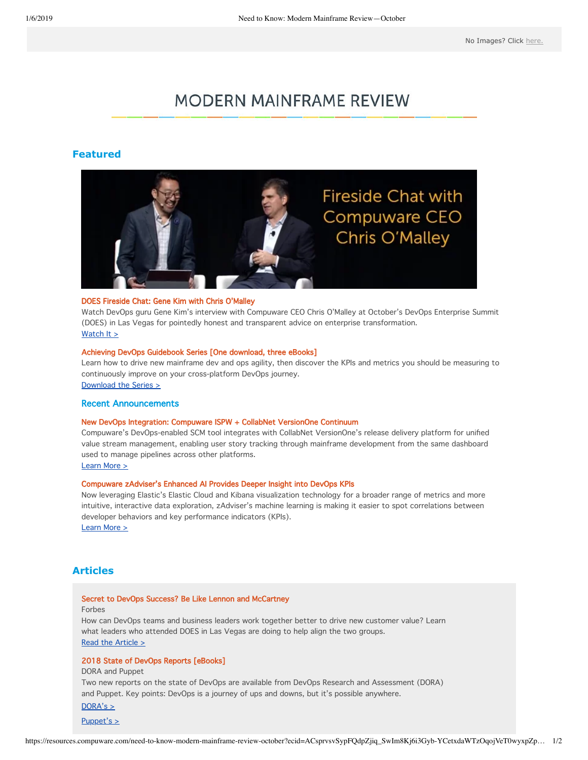# **MODERN MAINFRAME REVIEW**

### **Featured**



#### [DOES Fireside Chat: Gene Kim with Chris O'Malley](https://www.youtube.com/watch?v=r3H1E2lY_ig&utm_campaign=FY19Q3_Customer%20Newsletter_Nov&utm_source=hs_email&utm_medium=email&utm_content=67229596&_hsenc=p2ANqtz--9d6zwpg6lIEY4Jnq3NXI6tFw4Ba_X3IQ4JY2QY6Vj7x_5Wj0AnbHBdSUOglNo8QmS3eqCFtu3toEMRJvYCZ9TWJOzq7wsoiiJFPm4pmzTyw7Dqd4)

Watch DevOps guru Gene Kim's interview with Compuware CEO Chris O'Malley at October's DevOps Enterprise Summit (DOES) in Las Vegas for pointedly honest and transparent advice on enterprise transformation. [Watch It >](https://www.youtube.com/watch?v=r3H1E2lY_ig&utm_campaign=FY19Q3_Customer%20Newsletter_Nov&utm_source=hs_email&utm_medium=email&utm_content=67229596&_hsenc=p2ANqtz--9d6zwpg6lIEY4Jnq3NXI6tFw4Ba_X3IQ4JY2QY6Vj7x_5Wj0AnbHBdSUOglNo8QmS3eqCFtu3toEMRJvYCZ9TWJOzq7wsoiiJFPm4pmzTyw7Dqd4)

#### [Achieving DevOps Guidebook Series \[One download, three eBooks\]](https://resources.compuware.com/achieving-devops-guidebook-series-en?utm_campaign=FY19Q3_Achieving%20DevOps%20GuideBook%20Series&utm_campaign=FY19Q3_Customer%20Newsletter_Nov&utm_source=email&utm_source=hs_email&utm_medium=Email&utm_medium=email&utm_content=Modern%20Mainframe%20Review&utm_content=67229596&_hsenc=p2ANqtz--9d6zwpg6lIEY4Jnq3NXI6tFw4Ba_X3IQ4JY2QY6Vj7x_5Wj0AnbHBdSUOglNo8QmS3eqCFtu3toEMRJvYCZ9TWJOzq7wsoiiJFPm4pmzTyw7Dqd4)

Learn how to drive new mainframe dev and ops agility, then discover the KPIs and metrics you should be measuring to continuously improve on your cross-platform DevOps journey. [Download the Series >](https://resources.compuware.com/achieving-devops-guidebook-series-en?utm_campaign=FY19Q3_Achieving%20DevOps%20GuideBook%20Series&utm_campaign=FY19Q3_Customer%20Newsletter_Nov&utm_source=email&utm_source=hs_email&utm_medium=Email&utm_medium=email&utm_content=Modern%20Mainframe%20Review&utm_content=67229596&_hsenc=p2ANqtz--9d6zwpg6lIEY4Jnq3NXI6tFw4Ba_X3IQ4JY2QY6Vj7x_5Wj0AnbHBdSUOglNo8QmS3eqCFtu3toEMRJvYCZ9TWJOzq7wsoiiJFPm4pmzTyw7Dqd4)

#### Recent Announcements

#### [New DevOps Integration: Compuware ISPW + CollabNet VersionOne Continuum](https://resources.compuware.com/collabnet_versionone_continuum_ispw_integration?utm_campaign=FY19Q3_Customer%20Newsletter_October&utm_campaign=FY19Q3_Customer%20Newsletter_Nov&utm_source=hs_email&utm_source=hs_email&utm_medium=email&utm_medium=email&utm_content=2&utm_content=67229596&_hsenc=p2ANqtz-9JK1Z_SjoGeyUAsxxvAHSKIoMq80akDvzgnJHDVMC8uOXAUXRNZ65baPwjgczlIzlvs_kfvyziCzvKHE9JZmnyczXetQ&_hsmi=2&_hsenc=p2ANqtz--9d6zwpg6lIEY4Jnq3NXI6tFw4Ba_X3IQ4JY2QY6Vj7x_5Wj0AnbHBdSUOglNo8QmS3eqCFtu3toEMRJvYCZ9TWJOzq7wsoiiJFPm4pmzTyw7Dqd4)

Compuware's DevOps-enabled SCM tool integrates with CollabNet VersionOne's release delivery platform for unified value stream management, enabling user story tracking through mainframe development from the same dashboard used to manage pipelines across other platforms.

[Learn More >](https://resources.compuware.com/collabnet_versionone_continuum_ispw_integration?utm_campaign=FY19Q3_Customer%20Newsletter_October&utm_campaign=FY19Q3_Customer%20Newsletter_Nov&utm_source=hs_email&utm_source=hs_email&utm_medium=email&utm_medium=email&utm_content=2&utm_content=67229596&_hsenc=p2ANqtz-9JK1Z_SjoGeyUAsxxvAHSKIoMq80akDvzgnJHDVMC8uOXAUXRNZ65baPwjgczlIzlvs_kfvyziCzvKHE9JZmnyczXetQ&_hsmi=2&_hsenc=p2ANqtz--9d6zwpg6lIEY4Jnq3NXI6tFw4Ba_X3IQ4JY2QY6Vj7x_5Wj0AnbHBdSUOglNo8QmS3eqCFtu3toEMRJvYCZ9TWJOzq7wsoiiJFPm4pmzTyw7Dqd4)

#### [Compuware zAdviser's Enhanced AI Provides Deeper Insight into DevOps KPIs](https://resources.compuware.com/zadviser_enhanced_ai?utm_campaign=FY19Q3_Customer%20Newsletter_Nov&utm_source=hs_email&utm_medium=email&utm_content=67229596&_hsenc=p2ANqtz--9d6zwpg6lIEY4Jnq3NXI6tFw4Ba_X3IQ4JY2QY6Vj7x_5Wj0AnbHBdSUOglNo8QmS3eqCFtu3toEMRJvYCZ9TWJOzq7wsoiiJFPm4pmzTyw7Dqd4)

Now leveraging Elastic's Elastic Cloud and Kibana visualization technology for a broader range of metrics and more intuitive, interactive data exploration, zAdviser's machine learning is making it easier to spot correlations between developer behaviors and key performance indicators (KPIs).

[Learn More >](https://resources.compuware.com/zadviser_enhanced_ai?utm_campaign=FY19Q3_Customer%20Newsletter_Nov&utm_source=hs_email&utm_medium=email&utm_content=67229596&_hsenc=p2ANqtz--9d6zwpg6lIEY4Jnq3NXI6tFw4Ba_X3IQ4JY2QY6Vj7x_5Wj0AnbHBdSUOglNo8QmS3eqCFtu3toEMRJvYCZ9TWJOzq7wsoiiJFPm4pmzTyw7Dqd4)

# **Articles**

#### [Secret to DevOps Success? Be Like Lennon and McCartney](https://www.forbes.com/sites/jasonbloomberg/2018/10/27/secret-to-devops-success-be-like-lennon-and-mccartney/?utm_campaign=FY19Q3_Customer%20Newsletter_Nov&utm_source=hs_email&utm_medium=email&utm_content=67229596&_hsenc=p2ANqtz--9d6zwpg6lIEY4Jnq3NXI6tFw4Ba_X3IQ4JY2QY6Vj7x_5Wj0AnbHBdSUOglNo8QmS3eqCFtu3toEMRJvYCZ9TWJOzq7wsoiiJFPm4pmzTyw7Dqd4#6fc4d1c9440e)

Forbes

How can DevOps teams and business leaders work together better to drive new customer value? Learn what leaders who attended DOES in Las Vegas are doing to help align the two groups. [Read the Article >](https://www.forbes.com/sites/jasonbloomberg/2018/10/27/secret-to-devops-success-be-like-lennon-and-mccartney/?utm_campaign=FY19Q3_Customer%20Newsletter_Nov&utm_source=hs_email&utm_medium=email&utm_content=67229596&_hsenc=p2ANqtz--9d6zwpg6lIEY4Jnq3NXI6tFw4Ba_X3IQ4JY2QY6Vj7x_5Wj0AnbHBdSUOglNo8QmS3eqCFtu3toEMRJvYCZ9TWJOzq7wsoiiJFPm4pmzTyw7Dqd4#6fc4d1c9440e;)

#### 2018 State of DevOps Reports [eBooks]

DORA and Puppet

Two new reports on the state of DevOps are available from DevOps Research and Assessment (DORA) and Puppet. Key points: DevOps is a journey of ups and downs, but it's possible anywhere.

 $DORA's >$ 

 $Puppet's >$